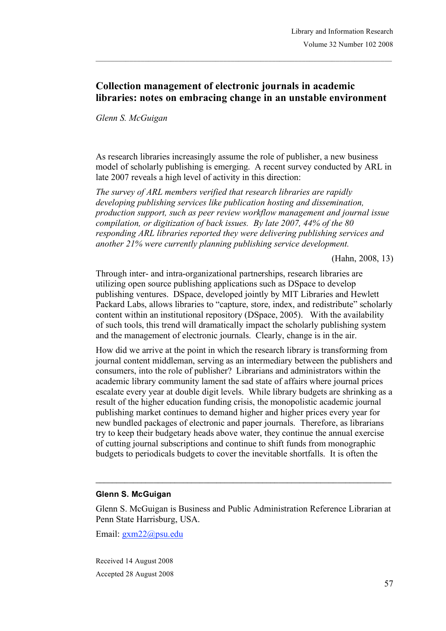## **Collection management of electronic journals in academic libraries: notes on embracing change in an unstable environment**

## *Glenn S. McGuigan*

As research libraries increasingly assume the role of publisher, a new business model of scholarly publishing is emerging. A recent survey conducted by ARL in late 2007 reveals a high level of activity in this direction:

*The survey of ARL members verified that research libraries are rapidly developing publishing services like publication hosting and dissemination, production support, such as peer review workflow management and journal issue compilation, or digitization of back issues. By late 2007, 44% of the 80 responding ARL libraries reported they were delivering publishing services and another 21% were currently planning publishing service development.*

(Hahn, 2008, 13)

Through inter- and intra-organizational partnerships, research libraries are utilizing open source publishing applications such as DSpace to develop publishing ventures. DSpace, developed jointly by MIT Libraries and Hewlett Packard Labs, allows libraries to "capture, store, index, and redistribute" scholarly content within an institutional repository (DSpace, 2005). With the availability of such tools, this trend will dramatically impact the scholarly publishing system and the management of electronic journals. Clearly, change is in the air.

How did we arrive at the point in which the research library is transforming from journal content middleman, serving as an intermediary between the publishers and consumers, into the role of publisher? Librarians and administrators within the academic library community lament the sad state of affairs where journal prices escalate every year at double digit levels. While library budgets are shrinking as a result of the higher education funding crisis, the monopolistic academic journal publishing market continues to demand higher and higher prices every year for new bundled packages of electronic and paper journals. Therefore, as librarians try to keep their budgetary heads above water, they continue the annual exercise of cutting journal subscriptions and continue to shift funds from monographic budgets to periodicals budgets to cover the inevitable shortfalls. It is often the

## **Glenn S. McGuigan**

Glenn S. McGuigan is Business and Public Administration Reference Librarian at Penn State Harrisburg, USA.

 $\mathcal{L}_\mathcal{L} = \{ \mathcal{L}_\mathcal{L} = \{ \mathcal{L}_\mathcal{L} = \{ \mathcal{L}_\mathcal{L} = \{ \mathcal{L}_\mathcal{L} = \{ \mathcal{L}_\mathcal{L} = \{ \mathcal{L}_\mathcal{L} = \{ \mathcal{L}_\mathcal{L} = \{ \mathcal{L}_\mathcal{L} = \{ \mathcal{L}_\mathcal{L} = \{ \mathcal{L}_\mathcal{L} = \{ \mathcal{L}_\mathcal{L} = \{ \mathcal{L}_\mathcal{L} = \{ \mathcal{L}_\mathcal{L} = \{ \mathcal{L}_\mathcal{$ 

Email: gxm22@psu.edu

Received 14 August 2008 Accepted 28 August 2008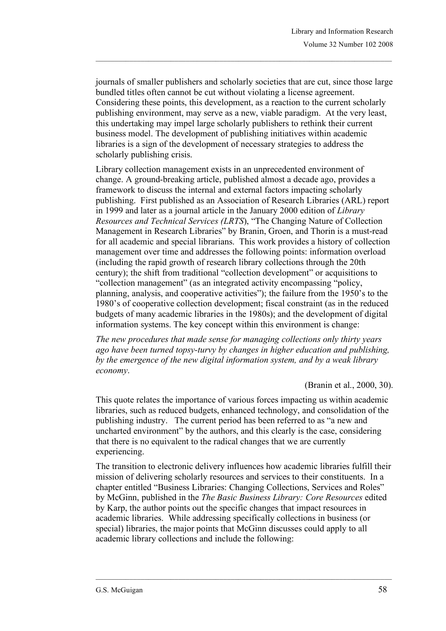journals of smaller publishers and scholarly societies that are cut, since those large bundled titles often cannot be cut without violating a license agreement. Considering these points, this development, as a reaction to the current scholarly publishing environment, may serve as a new, viable paradigm. At the very least, this undertaking may impel large scholarly publishers to rethink their current business model. The development of publishing initiatives within academic libraries is a sign of the development of necessary strategies to address the scholarly publishing crisis.

Library collection management exists in an unprecedented environment of change. A ground-breaking article, published almost a decade ago, provides a framework to discuss the internal and external factors impacting scholarly publishing. First published as an Association of Research Libraries (ARL) report in 1999 and later as a journal article in the January 2000 edition of *Library Resources and Technical Services (LRTS*), "The Changing Nature of Collection Management in Research Libraries" by Branin, Groen, and Thorin is a must-read for all academic and special librarians. This work provides a history of collection management over time and addresses the following points: information overload (including the rapid growth of research library collections through the 20th century); the shift from traditional "collection development" or acquisitions to "collection management" (as an integrated activity encompassing "policy, planning, analysis, and cooperative activities"); the failure from the 1950's to the 1980's of cooperative collection development; fiscal constraint (as in the reduced budgets of many academic libraries in the 1980s); and the development of digital information systems. The key concept within this environment is change:

*The new procedures that made sense for managing collections only thirty years ago have been turned topsy-turvy by changes in higher education and publishing, by the emergence of the new digital information system, and by a weak library economy*.

(Branin et al., 2000, 30).

This quote relates the importance of various forces impacting us within academic libraries, such as reduced budgets, enhanced technology, and consolidation of the publishing industry. The current period has been referred to as "a new and uncharted environment" by the authors, and this clearly is the case, considering that there is no equivalent to the radical changes that we are currently experiencing.

The transition to electronic delivery influences how academic libraries fulfill their mission of delivering scholarly resources and services to their constituents. In a chapter entitled "Business Libraries: Changing Collections, Services and Roles" by McGinn, published in the *The Basic Business Library: Core Resources* edited by Karp, the author points out the specific changes that impact resources in academic libraries. While addressing specifically collections in business (or special) libraries, the major points that McGinn discusses could apply to all academic library collections and include the following: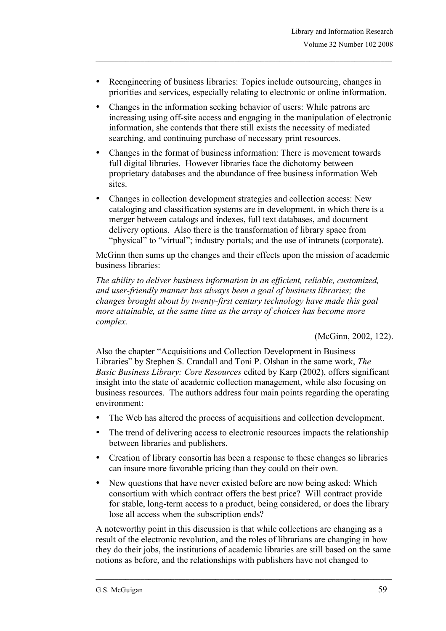- Reengineering of business libraries: Topics include outsourcing, changes in priorities and services, especially relating to electronic or online information.
- Changes in the information seeking behavior of users: While patrons are increasing using off-site access and engaging in the manipulation of electronic information, she contends that there still exists the necessity of mediated searching, and continuing purchase of necessary print resources.
- Changes in the format of business information: There is movement towards full digital libraries. However libraries face the dichotomy between proprietary databases and the abundance of free business information Web sites.
- Changes in collection development strategies and collection access: New cataloging and classification systems are in development, in which there is a merger between catalogs and indexes, full text databases, and document delivery options. Also there is the transformation of library space from "physical" to "virtual"; industry portals; and the use of intranets (corporate).

McGinn then sums up the changes and their effects upon the mission of academic business libraries:

*The ability to deliver business information in an efficient, reliable, customized, and user-friendly manner has always been a goal of business libraries; the changes brought about by twenty-first century technology have made this goal more attainable, at the same time as the array of choices has become more complex.*

(McGinn, 2002, 122).

Also the chapter "Acquisitions and Collection Development in Business Libraries" by Stephen S. Crandall and Toni P. Olshan in the same work, *The Basic Business Library: Core Resources* edited by Karp (2002), offers significant insight into the state of academic collection management, while also focusing on business resources. The authors address four main points regarding the operating environment:

- The Web has altered the process of acquisitions and collection development.
- The trend of delivering access to electronic resources impacts the relationship between libraries and publishers.
- Creation of library consortia has been a response to these changes so libraries can insure more favorable pricing than they could on their own.
- New questions that have never existed before are now being asked: Which consortium with which contract offers the best price? Will contract provide for stable, long-term access to a product, being considered, or does the library lose all access when the subscription ends?

A noteworthy point in this discussion is that while collections are changing as a result of the electronic revolution, and the roles of librarians are changing in how they do their jobs, the institutions of academic libraries are still based on the same notions as before, and the relationships with publishers have not changed to